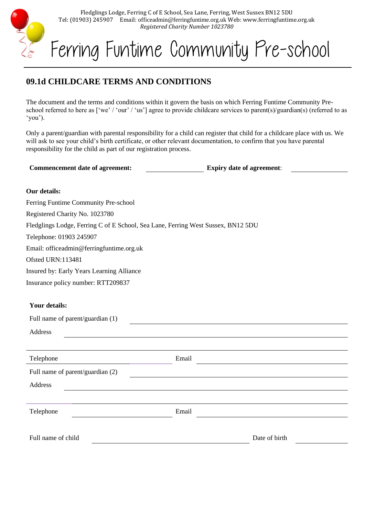

Fledglings Lodge, Ferring C of E School, Sea Lane, Ferring, West Sussex BN12 5DU Tel: (01903) 245907 Email: officeadmin@ferringfuntime.org.uk Web: www.ferringfuntime.org.uk *Registered Charity Number 1023780*

# Ferring Funtime Community Pre-school

# **09.1d CHILDCARE TERMS AND CONDITIONS**

The document and the terms and conditions within it govern the basis on which Ferring Funtime Community Preschool referred to here as ['we' / 'our' / 'us'] agree to provide childcare services to parent(s)/guardian(s) (referred to as 'you').

Only a parent/guardian with parental responsibility for a child can register that child for a childcare place with us. We will ask to see your child's birth certificate, or other relevant documentation, to confirm that you have parental responsibility for the child as part of our registration process.

### **Our details:**

Ferring Funtime Community Pre-school

Registered Charity No. 1023780

Fledglings Lodge, Ferring C of E School, Sea Lane, Ferring West Sussex, BN12 5DU

Telephone: 01903 245907

Email: officeadmin@ferringfuntime.org.uk

Ofsted URN:113481

Insured by: Early Years Learning Alliance

Insurance policy number: RTT209837

# **Your details:**

| Full name of parent/guardian (1) |       |  |  |  |
|----------------------------------|-------|--|--|--|
| Address                          |       |  |  |  |
|                                  |       |  |  |  |
| Telephone                        | Email |  |  |  |
| Full name of parent/guardian (2) |       |  |  |  |
| Address                          |       |  |  |  |
|                                  |       |  |  |  |
| Telephone                        | Email |  |  |  |
|                                  |       |  |  |  |
|                                  |       |  |  |  |

Full name of child Date of birth Date of birth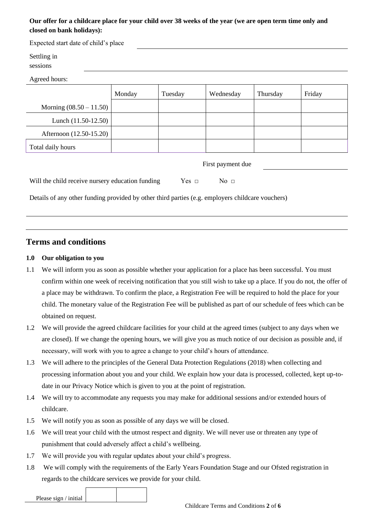# **Our offer for a childcare place for your child over 38 weeks of the year (we are open term time only and closed on bank holidays):**

| Expected start date of child's place |        |         |           |          |        |  |
|--------------------------------------|--------|---------|-----------|----------|--------|--|
| Settling in<br>sessions              |        |         |           |          |        |  |
| Agreed hours:                        |        |         |           |          |        |  |
|                                      | Monday | Tuesday | Wednesday | Thursday | Friday |  |
| Morning $(08.50 - 11.50)$            |        |         |           |          |        |  |
| Lunch $(11.50-12.50)$                |        |         |           |          |        |  |
| Afternoon (12.50-15.20)              |        |         |           |          |        |  |
| Total daily hours                    |        |         |           |          |        |  |

First payment due

| Will the child receive nursery education funding |  | Yes $\sqcap$ | No $\Box$ |
|--------------------------------------------------|--|--------------|-----------|
|                                                  |  |              |           |

Details of any other funding provided by other third parties (e.g. employers childcare vouchers)

# **Terms and conditions**

#### **1.0 Our obligation to you**

- 1.1 We will inform you as soon as possible whether your application for a place has been successful. You must confirm within one week of receiving notification that you still wish to take up a place. If you do not, the offer of a place may be withdrawn. To confirm the place, a Registration Fee will be required to hold the place for your child. The monetary value of the Registration Fee will be published as part of our schedule of fees which can be obtained on request.
- 1.2 We will provide the agreed childcare facilities for your child at the agreed times (subject to any days when we are closed). If we change the opening hours, we will give you as much notice of our decision as possible and, if necessary, will work with you to agree a change to your child's hours of attendance.
- 1.3 We will adhere to the principles of the General Data Protection Regulations (2018) when collecting and processing information about you and your child. We explain how your data is processed, collected, kept up-todate in our Privacy Notice which is given to you at the point of registration.
- 1.4 We will try to accommodate any requests you may make for additional sessions and/or extended hours of childcare.
- 1.5 We will notify you as soon as possible of any days we will be closed.
- 1.6 We will treat your child with the utmost respect and dignity. We will never use or threaten any type of punishment that could adversely affect a child's wellbeing.
- 1.7 We will provide you with regular updates about your child's progress.
- 1.8 We will comply with the requirements of the Early Years Foundation Stage and our Ofsted registration in regards to the childcare services we provide for your child.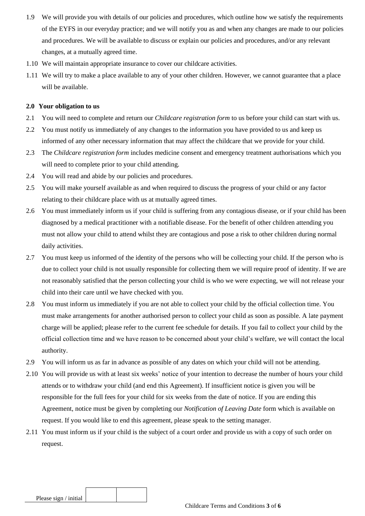- 1.9 We will provide you with details of our policies and procedures, which outline how we satisfy the requirements of the EYFS in our everyday practice; and we will notify you as and when any changes are made to our policies and procedures. We will be available to discuss or explain our policies and procedures, and/or any relevant changes, at a mutually agreed time.
- 1.10 We will maintain appropriate insurance to cover our childcare activities.
- 1.11 We will try to make a place available to any of your other children. However, we cannot guarantee that a place will be available.

#### **2.0 Your obligation to us**

- 2.1 You will need to complete and return our *Childcare registration form* to us before your child can start with us.
- 2.2 You must notify us immediately of any changes to the information you have provided to us and keep us informed of any other necessary information that may affect the childcare that we provide for your child.
- 2.3 The *Childcare registration form* includes medicine consent and emergency treatment authorisations which you will need to complete prior to your child attending.
- 2.4 You will read and abide by our policies and procedures.
- 2.5 You will make yourself available as and when required to discuss the progress of your child or any factor relating to their childcare place with us at mutually agreed times.
- 2.6 You must immediately inform us if your child is suffering from any contagious disease, or if your child has been diagnosed by a medical practitioner with a notifiable disease. For the benefit of other children attending you must not allow your child to attend whilst they are contagious and pose a risk to other children during normal daily activities.
- 2.7 You must keep us informed of the identity of the persons who will be collecting your child. If the person who is due to collect your child is not usually responsible for collecting them we will require proof of identity. If we are not reasonably satisfied that the person collecting your child is who we were expecting, we will not release your child into their care until we have checked with you.
- 2.8 You must inform us immediately if you are not able to collect your child by the official collection time. You must make arrangements for another authorised person to collect your child as soon as possible. A late payment charge will be applied; please refer to the current fee schedule for details. If you fail to collect your child by the official collection time and we have reason to be concerned about your child's welfare, we will contact the local authority.
- 2.9 You will inform us as far in advance as possible of any dates on which your child will not be attending.
- 2.10 You will provide us with at least six weeks' notice of your intention to decrease the number of hours your child attends or to withdraw your child (and end this Agreement). If insufficient notice is given you will be responsible for the full fees for your child for six weeks from the date of notice. If you are ending this Agreement, notice must be given by completing our *Notification of Leaving Date* form which is available on request. If you would like to end this agreement, please speak to the setting manager.
- 2.11 You must inform us if your child is the subject of a court order and provide us with a copy of such order on request.

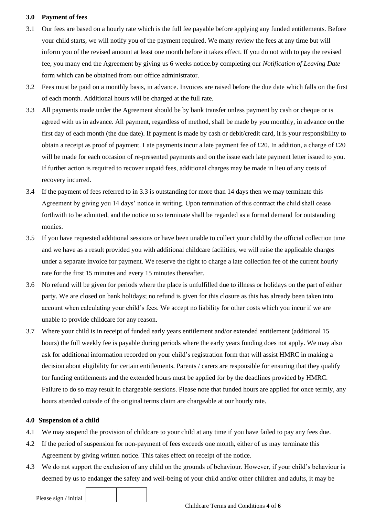#### **3.0 Payment of fees**

- 3.1 Our fees are based on a hourly rate which is the full fee payable before applying any funded entitlements. Before your child starts, we will notify you of the payment required. We many review the fees at any time but will inform you of the revised amount at least one month before it takes effect. If you do not with to pay the revised fee, you many end the Agreement by giving us 6 weeks notice.by completing our *Notification of Leaving Date* form which can be obtained from our office administrator.
- 3.2 Fees must be paid on a monthly basis, in advance. Invoices are raised before the due date which falls on the first of each month. Additional hours will be charged at the full rate.
- 3.3 All payments made under the Agreement should be by bank transfer unless payment by cash or cheque or is agreed with us in advance. All payment, regardless of method, shall be made by you monthly, in advance on the first day of each month (the due date). If payment is made by cash or debit/credit card, it is your responsibility to obtain a receipt as proof of payment. Late payments incur a late payment fee of £20. In addition, a charge of £20 will be made for each occasion of re-presented payments and on the issue each late payment letter issued to you. If further action is required to recover unpaid fees, additional charges may be made in lieu of any costs of recovery incurred.
- 3.4 If the payment of fees referred to in 3.3 is outstanding for more than 14 days then we may terminate this Agreement by giving you 14 days' notice in writing. Upon termination of this contract the child shall cease forthwith to be admitted, and the notice to so terminate shall be regarded as a formal demand for outstanding monies.
- 3.5 If you have requested additional sessions or have been unable to collect your child by the official collection time and we have as a result provided you with additional childcare facilities, we will raise the applicable charges under a separate invoice for payment. We reserve the right to charge a late collection fee of the current hourly rate for the first 15 minutes and every 15 minutes thereafter.
- 3.6 No refund will be given for periods where the place is unfulfilled due to illness or holidays on the part of either party. We are closed on bank holidays; no refund is given for this closure as this has already been taken into account when calculating your child's fees. We accept no liability for other costs which you incur if we are unable to provide childcare for any reason.
- 3.7 Where your child is in receipt of funded early years entitlement and/or extended entitlement (additional 15 hours) the full weekly fee is payable during periods where the early years funding does not apply. We may also ask for additional information recorded on your child's registration form that will assist HMRC in making a decision about eligibility for certain entitlements. Parents / carers are responsible for ensuring that they qualify for funding entitlements and the extended hours must be applied for by the deadlines provided by HMRC. Failure to do so may result in chargeable sessions. Please note that funded hours are applied for once termly, any hours attended outside of the original terms claim are chargeable at our hourly rate.

#### **4.0 Suspension of a child**

- 4.1 We may suspend the provision of childcare to your child at any time if you have failed to pay any fees due.
- 4.2 If the period of suspension for non-payment of fees exceeds one month, either of us may terminate this Agreement by giving written notice. This takes effect on receipt of the notice.
- 4.3 We do not support the exclusion of any child on the grounds of behaviour. However, if your child's behaviour is deemed by us to endanger the safety and well-being of your child and/or other children and adults, it may be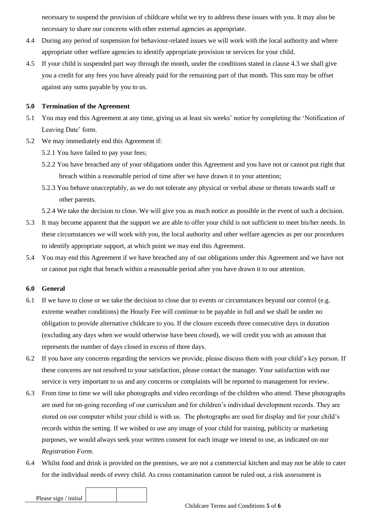necessary to suspend the provision of childcare whilst we try to address these issues with you. It may also be necessary to share our concerns with other external agencies as appropriate.

- 4.4 During any period of suspension for behaviour-related issues we will work with the local authority and where appropriate other welfare agencies to identify appropriate provision or services for your child.
- 4.5 If your child is suspended part way through the month, under the conditions stated in clause 4.3 we shall give you a credit for any fees you have already paid for the remaining part of that month. This sum may be offset against any sums payable by you to us.

#### **5.0 Termination of the Agreement**

- 5.1 You may end this Agreement at any time, giving us at least six weeks' notice by completing the 'Notification of Leaving Date' form.
- 5.2 We may immediately end this Agreement if:
	- 5.2.1 You have failed to pay your fees;
	- 5.2.2 You have breached any of your obligations under this Agreement and you have not or cannot put right that breach within a reasonable period of time after we have drawn it to your attention;
	- 5.2.3 You behave unacceptably, as we do not tolerate any physical or verbal abuse or threats towards staff or other parents.

5.2.4 We take the decision to close. We will give you as much notice as possible in the event of such a decision.

- 5.3 It may become apparent that the support we are able to offer your child is not sufficient to meet his/her needs. In these circumstances we will work with you, the local authority and other welfare agencies as per our procedures to identify appropriate support, at which point we may end this Agreement.
- 5.4 You may end this Agreement if we have breached any of our obligations under this Agreement and we have not or cannot put right that breach within a reasonable period after you have drawn it to our attention.

#### **6.0 General**

- 6.1 If we have to close or we take the decision to close due to events or circumstances beyond our control (e.g. extreme weather conditions) the Hourly Fee will continue to be payable in full and we shall be under no obligation to provide alternative childcare to you. If the closure exceeds three consecutive days in duration (excluding any days when we would otherwise have been closed), we will credit you with an amount that represents the number of days closed in excess of three days.
- 6.2 If you have any concerns regarding the services we provide, please discuss them with your child's key person. If these concerns are not resolved to your satisfaction, please contact the manager. Your satisfaction with our service is very important to us and any concerns or complaints will be reported to management for review.
- 6.3 From time to time we will take photographs and video recordings of the children who attend. These photographs are used for on-going recording of our curriculum and for children's individual development records. They are stored on our computer whilst your child is with us. The photographs are used for display and for your child's records within the setting. If we wished to use any image of your child for training, publicity or marketing purposes, we would always seek your written consent for each image we intend to use, as indicated on our *Registration Form*.
- 6.4 Whilst food and drink is provided on the premises, we are not a commercial kitchen and may not be able to cater for the individual needs of every child. As cross contamination cannot be ruled out, a risk assessment is



Please sign / initial